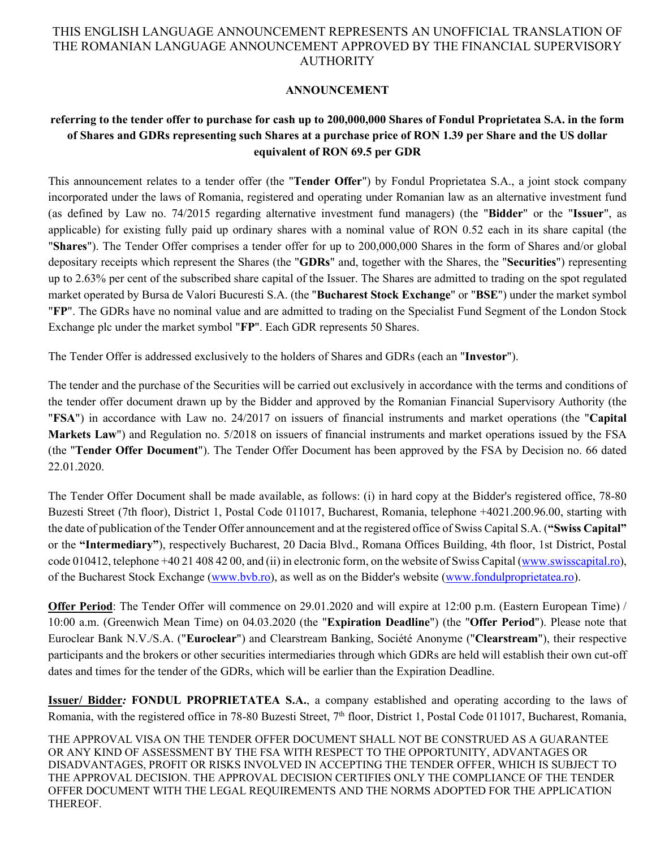#### **ANNOUNCEMENT**

# **referring to the tender offer to purchase for cash up to 200,000,000 Shares of Fondul Proprietatea S.A. in the form of Shares and GDRs representing such Shares at a purchase price of RON 1.39 per Share and the US dollar equivalent of RON 69.5 per GDR**

This announcement relates to a tender offer (the "**Tender Offer**") by Fondul Proprietatea S.A., a joint stock company incorporated under the laws of Romania, registered and operating under Romanian law as an alternative investment fund (as defined by Law no. 74/2015 regarding alternative investment fund managers) (the "**Bidder**" or the "**Issuer**", as applicable) for existing fully paid up ordinary shares with a nominal value of RON 0.52 each in its share capital (the "**Shares**"). The Tender Offer comprises a tender offer for up to 200,000,000 Shares in the form of Shares and/or global depositary receipts which represent the Shares (the "**GDRs**" and, together with the Shares, the "**Securities**") representing up to 2.63% per cent of the subscribed share capital of the Issuer. The Shares are admitted to trading on the spot regulated market operated by Bursa de Valori Bucuresti S.A. (the "**Bucharest Stock Exchange**" or "**BSE**") under the market symbol "**FP**". The GDRs have no nominal value and are admitted to trading on the Specialist Fund Segment of the London Stock Exchange plc under the market symbol "**FP**". Each GDR represents 50 Shares.

The Tender Offer is addressed exclusively to the holders of Shares and GDRs (each an "**Investor**").

The tender and the purchase of the Securities will be carried out exclusively in accordance with the terms and conditions of the tender offer document drawn up by the Bidder and approved by the Romanian Financial Supervisory Authority (the "**FSA**") in accordance with Law no. 24/2017 on issuers of financial instruments and market operations (the "**Capital Markets Law**") and Regulation no. 5/2018 on issuers of financial instruments and market operations issued by the FSA (the "**Tender Offer Document**"). The Tender Offer Document has been approved by the FSA by Decision no. 66 dated 22.01.2020.

The Tender Offer Document shall be made available, as follows: (i) in hard copy at the Bidder's registered office, 78-80 Buzesti Street (7th floor), District 1, Postal Code 011017, Bucharest, Romania, telephone +4021.200.96.00, starting with the date of publication of the Tender Offer announcement and at the registered office of Swiss Capital S.A. (**"Swiss Capital"** or the **"Intermediary"**), respectively Bucharest, 20 Dacia Blvd., Romana Offices Building, 4th floor, 1st District, Postal code 010412, telephone +40 21 408 42 00, and (ii) in electronic form, on the website of Swiss Capital [\(www.swisscapital.ro\)](http://www.swisscapital.ro/), of the Bucharest Stock Exchange [\(www.bvb.ro\)](http://www.bvb.ro/), as well as on the Bidder's website [\(www.fondulproprietatea.ro\)](http://www.fondulproprietatea.ro/).

**Offer Period**: The Tender Offer will commence on 29.01.2020 and will expire at 12:00 p.m. (Eastern European Time) / 10:00 a.m. (Greenwich Mean Time) on 04.03.2020 (the "**Expiration Deadline**") (the "**Offer Period**"). Please note that Euroclear Bank N.V./S.A. ("**Euroclear**") and Clearstream Banking, Société Anonyme ("**Clearstream**"), their respective participants and the brokers or other securities intermediaries through which GDRs are held will establish their own cut-off dates and times for the tender of the GDRs, which will be earlier than the Expiration Deadline.

**Issuer/ Bidder***:* **FONDUL PROPRIETATEA S.A.**, a company established and operating according to the laws of Romania, with the registered office in 78-80 Buzesti Street, 7<sup>th</sup> floor, District 1, Postal Code 011017, Bucharest, Romania,

THE APPROVAL VISA ON THE TENDER OFFER DOCUMENT SHALL NOT BE CONSTRUED AS A GUARANTEE OR ANY KIND OF ASSESSMENT BY THE FSA WITH RESPECT TO THE OPPORTUNITY, ADVANTAGES OR DISADVANTAGES, PROFIT OR RISKS INVOLVED IN ACCEPTING THE TENDER OFFER, WHICH IS SUBJECT TO THE APPROVAL DECISION. THE APPROVAL DECISION CERTIFIES ONLY THE COMPLIANCE OF THE TENDER OFFER DOCUMENT WITH THE LEGAL REQUIREMENTS AND THE NORMS ADOPTED FOR THE APPLICATION THEREOF.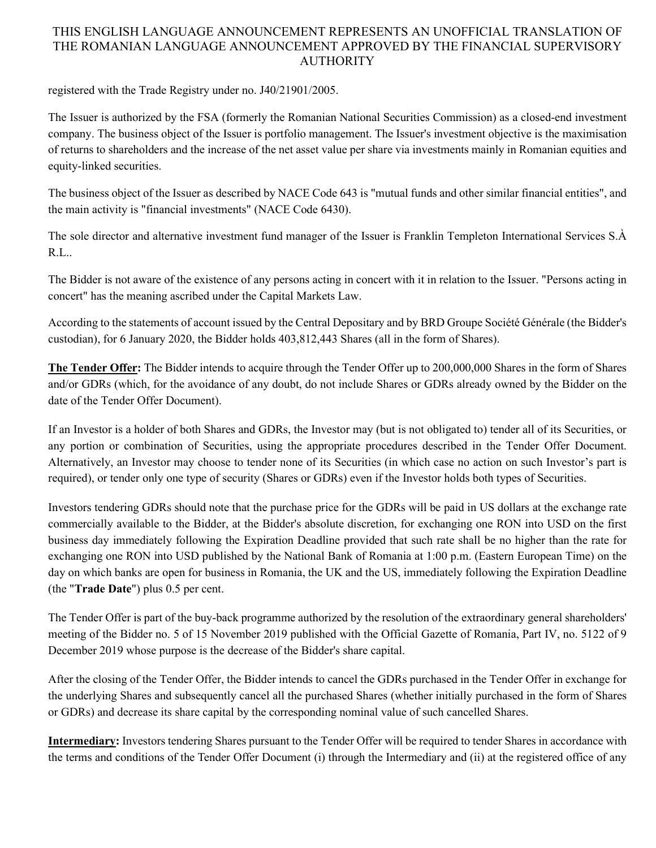registered with the Trade Registry under no. J40/21901/2005.

The Issuer is authorized by the FSA (formerly the Romanian National Securities Commission) as a closed-end investment company. The business object of the Issuer is portfolio management. The Issuer's investment objective is the maximisation of returns to shareholders and the increase of the net asset value per share via investments mainly in Romanian equities and equity-linked securities.

The business object of the Issuer as described by NACE Code 643 is "mutual funds and other similar financial entities", and the main activity is "financial investments" (NACE Code 6430).

The sole director and alternative investment fund manager of the Issuer is Franklin Templeton International Services S.À R.L..

The Bidder is not aware of the existence of any persons acting in concert with it in relation to the Issuer. "Persons acting in concert" has the meaning ascribed under the Capital Markets Law.

According to the statements of account issued by the Central Depositary and by BRD Groupe Société Générale (the Bidder's custodian), for 6 January 2020, the Bidder holds 403,812,443 Shares (all in the form of Shares).

**The Tender Offer:** The Bidder intends to acquire through the Tender Offer up to 200,000,000 Shares in the form of Shares and/or GDRs (which, for the avoidance of any doubt, do not include Shares or GDRs already owned by the Bidder on the date of the Tender Offer Document).

If an Investor is a holder of both Shares and GDRs, the Investor may (but is not obligated to) tender all of its Securities, or any portion or combination of Securities, using the appropriate procedures described in the Tender Offer Document. Alternatively, an Investor may choose to tender none of its Securities (in which case no action on such Investor's part is required), or tender only one type of security (Shares or GDRs) even if the Investor holds both types of Securities.

Investors tendering GDRs should note that the purchase price for the GDRs will be paid in US dollars at the exchange rate commercially available to the Bidder, at the Bidder's absolute discretion, for exchanging one RON into USD on the first business day immediately following the Expiration Deadline provided that such rate shall be no higher than the rate for exchanging one RON into USD published by the National Bank of Romania at 1:00 p.m. (Eastern European Time) on the day on which banks are open for business in Romania, the UK and the US, immediately following the Expiration Deadline (the "**Trade Date**") plus 0.5 per cent.

The Tender Offer is part of the buy-back programme authorized by the resolution of the extraordinary general shareholders' meeting of the Bidder no. 5 of 15 November 2019 published with the Official Gazette of Romania, Part IV, no. 5122 of 9 December 2019 whose purpose is the decrease of the Bidder's share capital.

After the closing of the Tender Offer, the Bidder intends to cancel the GDRs purchased in the Tender Offer in exchange for the underlying Shares and subsequently cancel all the purchased Shares (whether initially purchased in the form of Shares or GDRs) and decrease its share capital by the corresponding nominal value of such cancelled Shares.

**Intermediary:** Investors tendering Shares pursuant to the Tender Offer will be required to tender Shares in accordance with the terms and conditions of the Tender Offer Document (i) through the Intermediary and (ii) at the registered office of any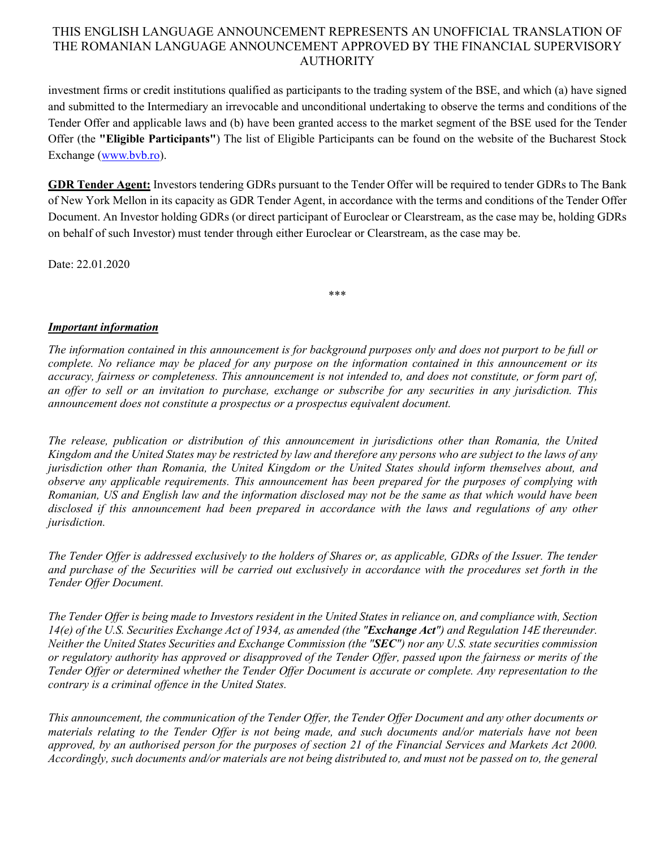investment firms or credit institutions qualified as participants to the trading system of the BSE, and which (a) have signed and submitted to the Intermediary an irrevocable and unconditional undertaking to observe the terms and conditions of the Tender Offer and applicable laws and (b) have been granted access to the market segment of the BSE used for the Tender Offer (the **"Eligible Participants"**) The list of Eligible Participants can be found on the website of the Bucharest Stock Exchange [\(www.bvb.ro\)](http://www.bvb.ro/).

**GDR Tender Agent:** Investors tendering GDRs pursuant to the Tender Offer will be required to tender GDRs to The Bank of New York Mellon in its capacity as GDR Tender Agent, in accordance with the terms and conditions of the Tender Offer Document. An Investor holding GDRs (or direct participant of Euroclear or Clearstream, as the case may be, holding GDRs on behalf of such Investor) must tender through either Euroclear or Clearstream, as the case may be.

\*\*\*

Date: 22.01.2020

*Important information*

*The information contained in this announcement is for background purposes only and does not purport to be full or complete. No reliance may be placed for any purpose on the information contained in this announcement or its accuracy, fairness or completeness. This announcement is not intended to, and does not constitute, or form part of, an offer to sell or an invitation to purchase, exchange or subscribe for any securities in any jurisdiction. This announcement does not constitute a prospectus or a prospectus equivalent document.*

*The release, publication or distribution of this announcement in jurisdictions other than Romania, the United Kingdom and the United States may be restricted by law and therefore any persons who are subject to the laws of any jurisdiction other than Romania, the United Kingdom or the United States should inform themselves about, and observe any applicable requirements. This announcement has been prepared for the purposes of complying with Romanian, US and English law and the information disclosed may not be the same as that which would have been disclosed if this announcement had been prepared in accordance with the laws and regulations of any other jurisdiction.*

*The Tender Offer is addressed exclusively to the holders of Shares or, as applicable, GDRs of the Issuer. The tender and purchase of the Securities will be carried out exclusively in accordance with the procedures set forth in the Tender Offer Document.*

*The Tender Offer is being made to Investors resident in the United States in reliance on, and compliance with, Section 14(e) of the U.S. Securities Exchange Act of 1934, as amended (the "Exchange Act") and Regulation 14E thereunder. Neither the United States Securities and Exchange Commission (the "SEC") nor any U.S. state securities commission or regulatory authority has approved or disapproved of the Tender Offer, passed upon the fairness or merits of the Tender Offer or determined whether the Tender Offer Document is accurate or complete. Any representation to the contrary is a criminal offence in the United States.*

*This announcement, the communication of the Tender Offer, the Tender Offer Document and any other documents or materials relating to the Tender Offer is not being made, and such documents and/or materials have not been*  approved, by an authorised person for the purposes of section 21 of the Financial Services and Markets Act 2000. *Accordingly, such documents and/or materials are not being distributed to, and must not be passed on to, the general*